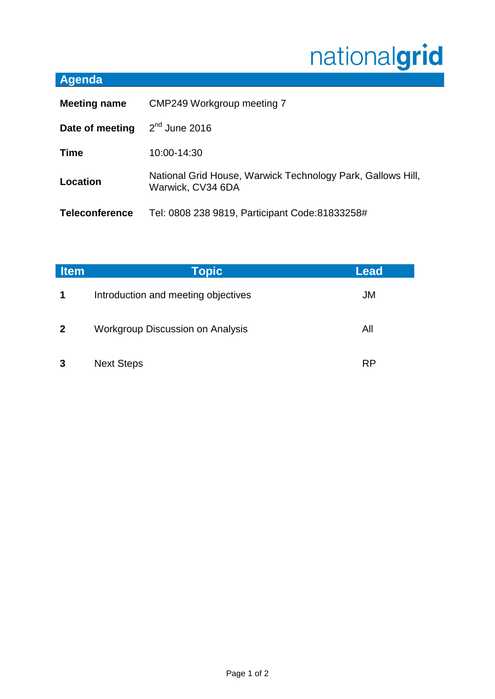## nationalgrid

## **Agenda**

| <b>Meeting name</b>   | CMP249 Workgroup meeting 7                                                       |  |
|-----------------------|----------------------------------------------------------------------------------|--|
| Date of meeting       | $2nd$ June 2016                                                                  |  |
| <b>Time</b>           | 10:00-14:30                                                                      |  |
| Location              | National Grid House, Warwick Technology Park, Gallows Hill,<br>Warwick, CV34 6DA |  |
| <b>Teleconference</b> | Tel: 0808 238 9819, Participant Code: 81833258#                                  |  |

| <b>Item</b>  | Topic                                   | Lead      |
|--------------|-----------------------------------------|-----------|
| 1            | Introduction and meeting objectives     | JM        |
| $\mathbf{2}$ | <b>Workgroup Discussion on Analysis</b> | All       |
| 3            | <b>Next Steps</b>                       | <b>RP</b> |